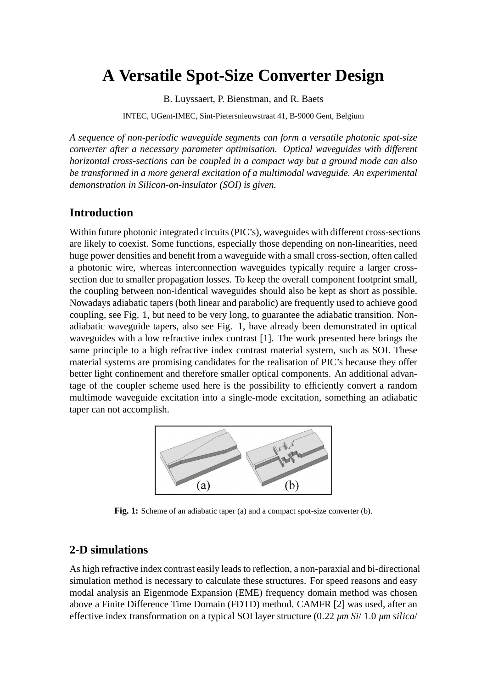# **A Versatile Spot-Size Converter Design**

B. Luyssaert, P. Bienstman, and R. Baets

INTEC, UGent-IMEC, Sint-Pietersnieuwstraat 41, B-9000 Gent, Belgium

*A sequence of non-periodic waveguide segments can form a versatile photonic spot-size converter after a necessary parameter optimisation. Optical waveguides with different horizontal cross-sections can be coupled in a compact way but a ground mode can also be transformed in a more general excitation of a multimodal waveguide. An experimental demonstration in Silicon-on-insulator (SOI) is given.*

#### **Introduction**

Within future photonic integrated circuits (PIC's), waveguides with different cross-sections are likely to coexist. Some functions, especially those depending on non-linearities, need huge power densities and benefit from a waveguide with a small cross-section, often called a photonic wire, whereas interconnection waveguides typically require a larger crosssection due to smaller propagation losses. To keep the overall component footprint small, the coupling between non-identical waveguides should also be kept as short as possible. Nowadays adiabatic tapers (both linear and parabolic) are frequently used to achieve good coupling, see Fig. 1, but need to be very long, to guarantee the adiabatic transition. Nonadiabatic waveguide tapers, also see Fig. 1, have already been demonstrated in optical waveguides with a low refractive index contrast [1]. The work presented here brings the same principle to a high refractive index contrast material system, such as SOI. These material systems are promising candidates for the realisation of PIC's because they offer better light confinement and therefore smaller optical components. An additional advantage of the coupler scheme used here is the possibility to efficiently convert a random multimode waveguide excitation into a single-mode excitation, something an adiabatic taper can not accomplish.



**Fig. 1:** Scheme of an adiabatic taper (a) and a compact spot-size converter (b).

#### **2-D simulations**

As high refractive index contrast easily leads to reflection, a non-paraxial and bi-directional simulation method is necessary to calculate these structures. For speed reasons and easy modal analysis an Eigenmode Expansion (EME) frequency domain method was chosen above a Finite Difference Time Domain (FDTD) method. CAMFR [2] was used, after an effective index transformation on a typical SOI layer structure (0.22 *µm Si*/ 1.0 *µm silica*/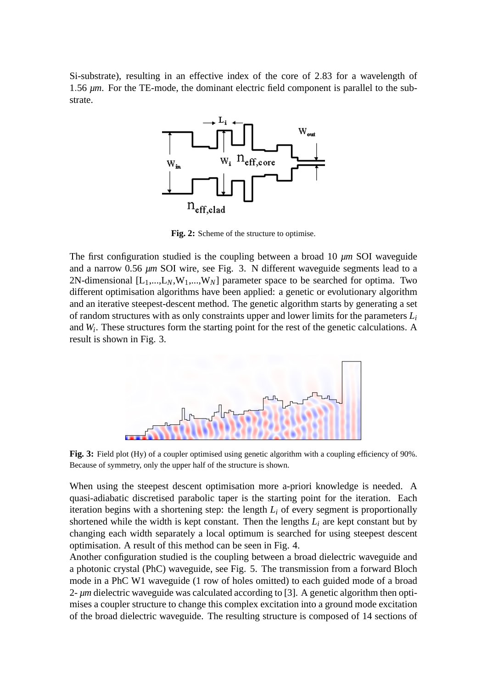Si-substrate), resulting in an effective index of the core of 2.83 for a wavelength of 1.56 *µm*. For the TE-mode, the dominant electric field component is parallel to the substrate.



**Fig. 2:** Scheme of the structure to optimise.

The first configuration studied is the coupling between a broad 10 *µm* SOI waveguide and a narrow 0.56 *µm* SOI wire, see Fig. 3. N different waveguide segments lead to a 2N-dimensional  $[L_1,...,L_N,W_1,...,W_N]$  parameter space to be searched for optima. Two different optimisation algorithms have been applied: a genetic or evolutionary algorithm and an iterative steepest-descent method. The genetic algorithm starts by generating a set of random structures with as only constraints upper and lower limits for the parameters *L<sup>i</sup>* and *W<sup>i</sup>* . These structures form the starting point for the rest of the genetic calculations. A result is shown in Fig. 3.



**Fig. 3:** Field plot (Hy) of a coupler optimised using genetic algorithm with a coupling efficiency of 90%. Because of symmetry, only the upper half of the structure is shown.

When using the steepest descent optimisation more a-priori knowledge is needed. A quasi-adiabatic discretised parabolic taper is the starting point for the iteration. Each iteration begins with a shortening step: the length  $L<sub>i</sub>$  of every segment is proportionally shortened while the width is kept constant. Then the lengths  $L_i$  are kept constant but by changing each width separately a local optimum is searched for using steepest descent optimisation. A result of this method can be seen in Fig. 4.

Another configuration studied is the coupling between a broad dielectric waveguide and a photonic crystal (PhC) waveguide, see Fig. 5. The transmission from a forward Bloch mode in a PhC W1 waveguide (1 row of holes omitted) to each guided mode of a broad 2- *µm* dielectric waveguide was calculated according to [3]. A genetic algorithm then optimises a coupler structure to change this complex excitation into a ground mode excitation of the broad dielectric waveguide. The resulting structure is composed of 14 sections of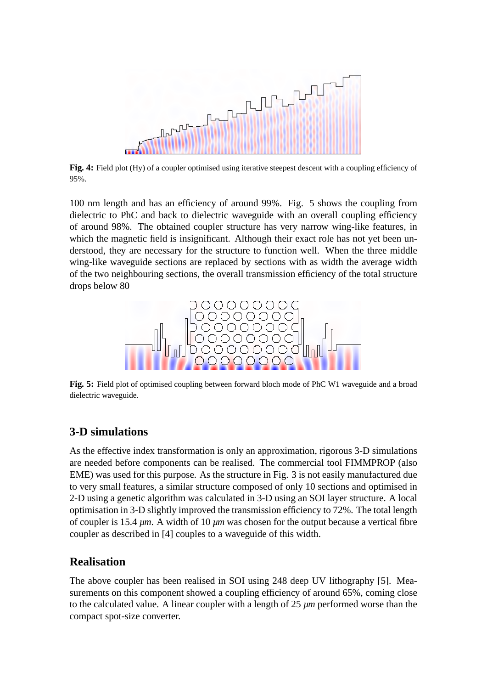

**Fig. 4:** Field plot (Hy) of a coupler optimised using iterative steepest descent with a coupling efficiency of 95%.

100 nm length and has an efficiency of around 99%. Fig. 5 shows the coupling from dielectric to PhC and back to dielectric waveguide with an overall coupling efficiency of around 98%. The obtained coupler structure has very narrow wing-like features, in which the magnetic field is insignificant. Although their exact role has not yet been understood, they are necessary for the structure to function well. When the three middle wing-like waveguide sections are replaced by sections with as width the average width of the two neighbouring sections, the overall transmission efficiency of the total structure drops below 80



**Fig. 5:** Field plot of optimised coupling between forward bloch mode of PhC W1 waveguide and a broad dielectric waveguide.

# **3-D simulations**

As the effective index transformation is only an approximation, rigorous 3-D simulations are needed before components can be realised. The commercial tool FIMMPROP (also EME) was used for this purpose. As the structure in Fig. 3 is not easily manufactured due to very small features, a similar structure composed of only 10 sections and optimised in 2-D using a genetic algorithm was calculated in 3-D using an SOI layer structure. A local optimisation in 3-D slightly improved the transmission efficiency to 72%. The total length of coupler is 15.4 *µm*. A width of 10 *µm* was chosen for the output because a vertical fibre coupler as described in [4] couples to a waveguide of this width.

# **Realisation**

The above coupler has been realised in SOI using 248 deep UV lithography [5]. Measurements on this component showed a coupling efficiency of around 65%, coming close to the calculated value. A linear coupler with a length of 25 *µm* performed worse than the compact spot-size converter.